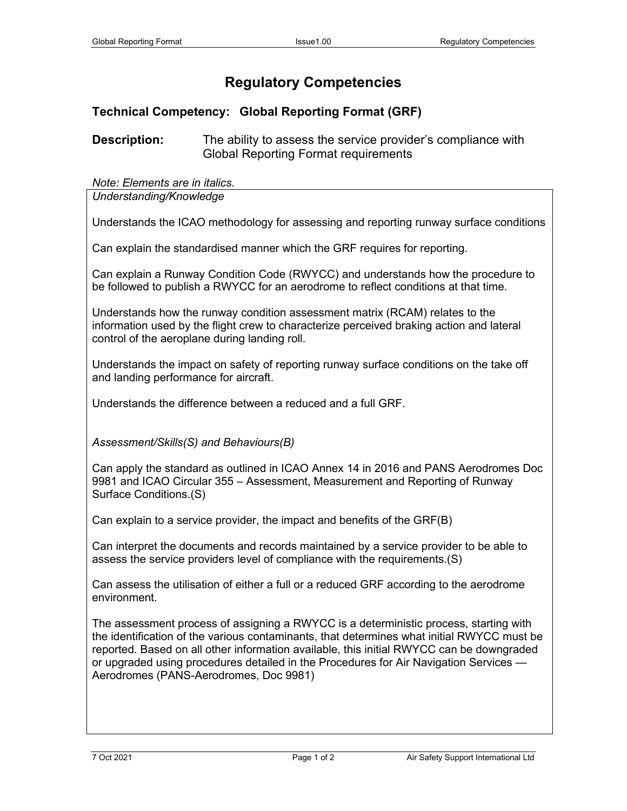## **Regulatory Competencies**

## **Technical Competency: Global Reporting Format (GRF)**

**Description:** The ability to assess the service provider's compliance with Global Reporting Format requirements

## *Note: Elements are in italics.*

*Understanding/Knowledge*

Understands the ICAO methodology for assessing and reporting runway surface conditions

Can explain the standardised manner which the GRF requires for reporting.

Can explain a Runway Condition Code (RWYCC) and understands how the procedure to be followed to publish a RWYCC for an aerodrome to reflect conditions at that time.

Understands how the runway condition assessment matrix (RCAM) relates to the information used by the flight crew to characterize perceived braking action and lateral control of the aeroplane during landing roll.

Understands the impact on safety of reporting runway surface conditions on the take off and landing performance for aircraft.

Understands the difference between a reduced and a full GRF.

*Assessment/Skills(S) and Behaviours(B)*

Can apply the standard as outlined in ICAO Annex 14 in 2016 and PANS Aerodromes Doc 9981 and ICAO Circular 355 – Assessment, Measurement and Reporting of Runway Surface Conditions.(S)

Can explain to a service provider, the impact and benefits of the GRF(B)

Can interpret the documents and records maintained by a service provider to be able to assess the service providers level of compliance with the requirements.(S)

Can assess the utilisation of either a full or a reduced GRF according to the aerodrome environment.

The assessment process of assigning a RWYCC is a deterministic process, starting with the identification of the various contaminants, that determines what initial RWYCC must be reported. Based on all other information available, this initial RWYCC can be downgraded or upgraded using procedures detailed in the Procedures for Air Navigation Services — Aerodromes (PANS-Aerodromes, Doc 9981)